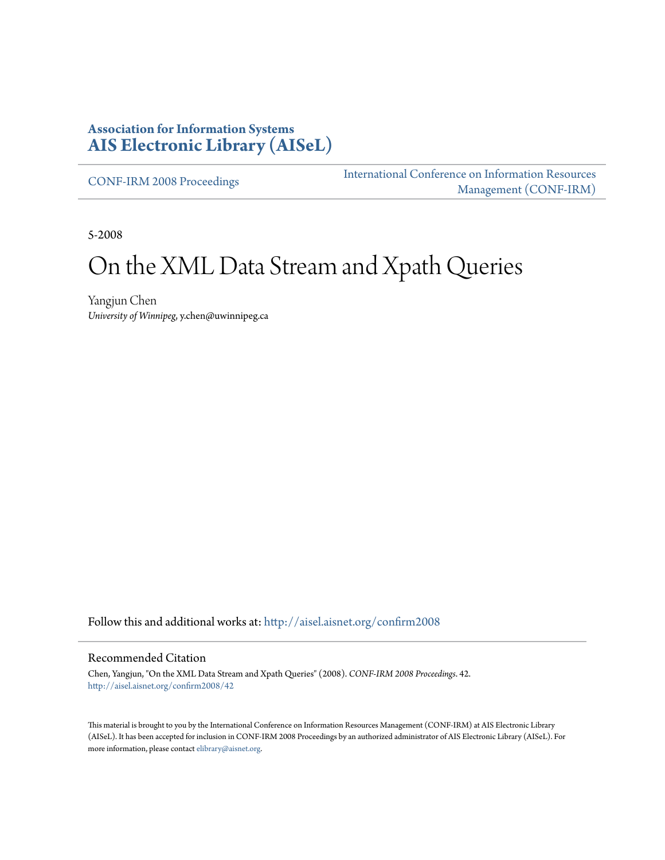# **Association for Information Systems [AIS Electronic Library \(AISeL\)](http://aisel.aisnet.org?utm_source=aisel.aisnet.org%2Fconfirm2008%2F42&utm_medium=PDF&utm_campaign=PDFCoverPages)**

[CONF-IRM 2008 Proceedings](http://aisel.aisnet.org/confirm2008?utm_source=aisel.aisnet.org%2Fconfirm2008%2F42&utm_medium=PDF&utm_campaign=PDFCoverPages)

[International Conference on Information Resources](http://aisel.aisnet.org/conf-irm?utm_source=aisel.aisnet.org%2Fconfirm2008%2F42&utm_medium=PDF&utm_campaign=PDFCoverPages) [Management \(CONF-IRM\)](http://aisel.aisnet.org/conf-irm?utm_source=aisel.aisnet.org%2Fconfirm2008%2F42&utm_medium=PDF&utm_campaign=PDFCoverPages)

5-2008

# On the XML Data Stream and Xpath Queries

Yangjun Chen *University of Winnipeg*, y.chen@uwinnipeg.ca

Follow this and additional works at: [http://aisel.aisnet.org/confirm2008](http://aisel.aisnet.org/confirm2008?utm_source=aisel.aisnet.org%2Fconfirm2008%2F42&utm_medium=PDF&utm_campaign=PDFCoverPages)

#### Recommended Citation

Chen, Yangjun, "On the XML Data Stream and Xpath Queries" (2008). *CONF-IRM 2008 Proceedings*. 42. [http://aisel.aisnet.org/confirm2008/42](http://aisel.aisnet.org/confirm2008/42?utm_source=aisel.aisnet.org%2Fconfirm2008%2F42&utm_medium=PDF&utm_campaign=PDFCoverPages)

This material is brought to you by the International Conference on Information Resources Management (CONF-IRM) at AIS Electronic Library (AISeL). It has been accepted for inclusion in CONF-IRM 2008 Proceedings by an authorized administrator of AIS Electronic Library (AISeL). For more information, please contact [elibrary@aisnet.org.](mailto:elibrary@aisnet.org%3E)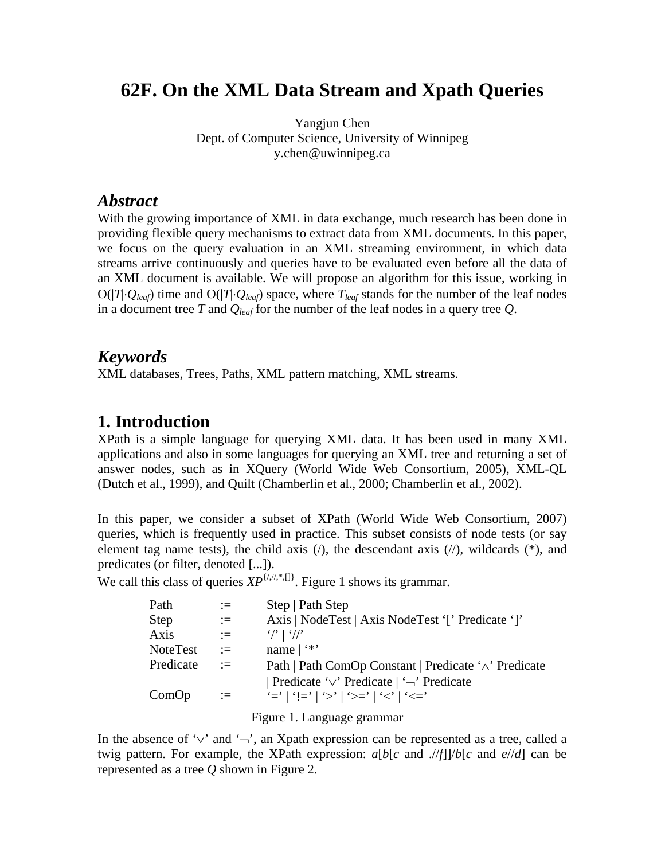# **62F. On the XML Data Stream and Xpath Queries**

Yangjun Chen Dept. of Computer Science, University of Winnipeg y.chen@uwinnipeg.ca

### *Abstract*

With the growing importance of XML in data exchange, much research has been done in providing flexible query mechanisms to extract data from XML documents. In this paper, we focus on the query evaluation in an XML streaming environment, in which data streams arrive continuously and queries have to be evaluated even before all the data of an XML document is available. We will propose an algorithm for this issue, working in  $O(|T| \cdot Q_{leaf})$  time and  $O(|T| \cdot Q_{leaf})$  space, where  $T_{leaf}$  stands for the number of the leaf nodes in a document tree *T* and *Qleaf* for the number of the leaf nodes in a query tree *Q*.

## *Keywords*

XML databases, Trees, Paths, XML pattern matching, XML streams.

### **1. Introduction**

XPath is a simple language for querying XML data. It has been used in many XML applications and also in some languages for querying an XML tree and returning a set of answer nodes, such as in XQuery (World Wide Web Consortium, 2005), XML-QL (Dutch et al., 1999), and Quilt (Chamberlin et al., 2000; Chamberlin et al., 2002).

In this paper, we consider a subset of XPath (World Wide Web Consortium, 2007) queries, which is frequently used in practice. This subset consists of node tests (or say element tag name tests), the child axis  $($ ), the descendant axis  $($ / $)$ , wildcards  $(*)$ , and predicates (or filter, denoted [...]).

We call this class of queries  $XP^{\{i,j,*,\{]\}}$ . Figure 1 shows its grammar.

| Path      | $:=$ | Step   Path Step                                      |
|-----------|------|-------------------------------------------------------|
| Step      | $:=$ | Axis   NodeTest   Axis NodeTest '[' Predicate ']'     |
| Axis      | $:=$ | $\frac{1}{2}$   $\frac{1}{2}$                         |
| NoteTest  | $:=$ | name $ $ ***                                          |
| Predicate | $:=$ | Path   Path ComOp Constant   Predicate '∧' Predicate  |
|           |      | Predicate ' $\vee$ ' Predicate   ' $\neg$ ' Predicate |
| ComOp     | $:=$ | '='   '!='   '>'   '>='   '<'   '<='                  |
|           |      |                                                       |

Figure 1. Language grammar

In the absence of '∨' and '¬', an Xpath expression can be represented as a tree, called a twig pattern. For example, the XPath expression:  $a[b[c \text{ and } ]/f]/[b[c \text{ and } e]/d]$  can be represented as a tree *Q* shown in Figure 2.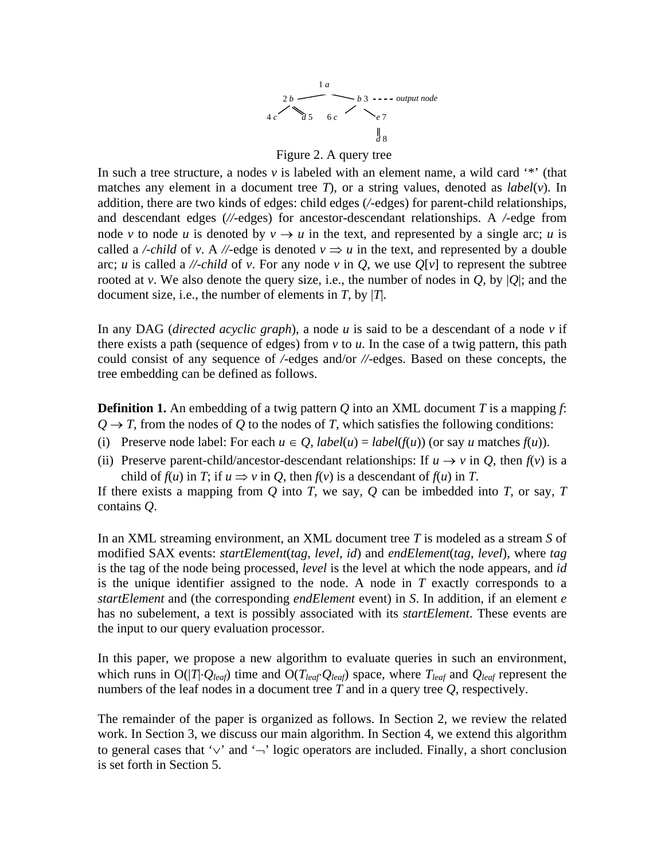

#### Figure 2. A query tree

In such a tree structure, a nodes *v* is labeled with an element name, a wild card '\*' (that matches any element in a document tree *T*), or a string values, denoted as *label*(*v*). In addition, there are two kinds of edges: child edges (*/-*edges) for parent-child relationships, and descendant edges (*//-*edges) for ancestor-descendant relationships. A */-*edge from node *v* to node *u* is denoted by  $v \rightarrow u$  in the text, and represented by a single arc; *u* is called a */-child* of *v*. A *//-edge* is denoted  $v \Rightarrow u$  in the text, and represented by a double arc; *u* is called a *//-child* of *v*. For any node *v* in *Q*, we use  $Q[v]$  to represent the subtree rooted at *v*. We also denote the query size, i.e., the number of nodes in  $Q$ , by  $|Q|$ ; and the document size, i.e., the number of elements in *T*, by |*T*|.

In any DAG (*directed acyclic graph*), a node *u* is said to be a descendant of a node *v* if there exists a path (sequence of edges) from *v* to *u*. In the case of a twig pattern, this path could consist of any sequence of */-*edges and/or *//-*edges. Based on these concepts, the tree embedding can be defined as follows.

**Definition 1.** An embedding of a twig pattern *Q* into an XML document *T* is a mapping *f*:  $Q \rightarrow T$ , from the nodes of *Q* to the nodes of *T*, which satisfies the following conditions:

- (i) Preserve node label: For each  $u \in Q$ ,  $label(u) = label(f(u))$  (or say *u* matches  $f(u)$ ).
- (ii) Preserve parent-child/ancestor-descendant relationships: If  $u \rightarrow v$  in *Q*, then  $f(v)$  is a child of  $f(u)$  in  $T$ ; if  $u \Rightarrow v$  in  $Q$ , then  $f(v)$  is a descendant of  $f(u)$  in  $T$ .

If there exists a mapping from *Q* into *T*, we say, *Q* can be imbedded into *T*, or say, *T*  contains *Q*.

In an XML streaming environment, an XML document tree *T* is modeled as a stream *S* of modified SAX events: *startElement*(*tag*, *level*, *id*) and *endElement*(*tag*, *level*), where *tag*  is the tag of the node being processed, *level* is the level at which the node appears, and *id*  is the unique identifier assigned to the node. A node in *T* exactly corresponds to a *startElement* and (the corresponding *endElement* event) in *S*. In addition, if an element *e* has no subelement, a text is possibly associated with its *startElement*. These events are the input to our query evaluation processor.

In this paper, we propose a new algorithm to evaluate queries in such an environment, which runs in  $O(|T|\cdot Q_{leaf})$  time and  $O(T_{leaf}Q_{leaf})$  space, where  $T_{leaf}$  and  $Q_{leaf}$  represent the numbers of the leaf nodes in a document tree *T* and in a query tree *Q*, respectively.

The remainder of the paper is organized as follows. In Section 2, we review the related work. In Section 3, we discuss our main algorithm. In Section 4, we extend this algorithm to general cases that '∨' and '¬' logic operators are included. Finally, a short conclusion is set forth in Section 5.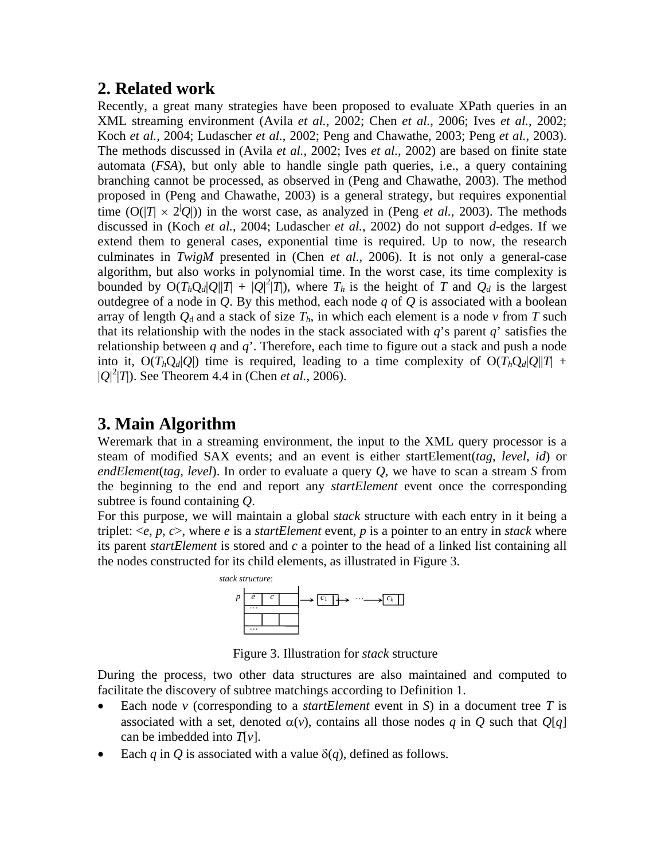# **2. Related work**

Recently, a great many strategies have been proposed to evaluate XPath queries in an XML streaming environment (Avila *et al.*, 2002; Chen *et al.*, 2006; Ives *et al.*, 2002; Koch *et al.*, 2004; Ludascher *et al.*, 2002; Peng and Chawathe, 2003; Peng *et al.*, 2003). The methods discussed in (Avila *et al.*, 2002; Ives *et al.*, 2002) are based on finite state automata (*FSA*), but only able to handle single path queries, i.e., a query containing branching cannot be processed, as observed in (Peng and Chawathe, 2003). The method proposed in (Peng and Chawathe, 2003) is a general strategy, but requires exponential time  $(O(|T| \times 2|Q|))$  in the worst case, as analyzed in (Peng *et al.*, 2003). The methods discussed in (Koch *et al.*, 2004; Ludascher *et al.*, 2002) do not support *d*-edges. If we extend them to general cases, exponential time is required. Up to now, the research culminates in *TwigM* presented in (Chen *et al.*, 2006). It is not only a general-case algorithm, but also works in polynomial time. In the worst case, its time complexity is bounded by  $O(T_hQ_d|Q||T| + |Q|^2|T|)$ , where  $T_h$  is the height of  $T$  and  $Q_d$  is the largest outdegree of a node in *Q*. By this method, each node *q* of *Q* is associated with a boolean array of length  $Q_d$  and a stack of size  $T_h$ , in which each element is a node  $v$  from  $T$  such that its relationship with the nodes in the stack associated with *q*'s parent *q*' satisfies the relationship between *q* and *q*'. Therefore, each time to figure out a stack and push a node into it,  $O(T_hQ_d|Q|)$  time is required, leading to a time complexity of  $O(T_hQ_d|Q||T)$  +  $|Q|^2$  (*T*). See Theorem 4.4 in (Chen *et al.*, 2006).

# **3. Main Algorithm**

Weremark that in a streaming environment, the input to the XML query processor is a steam of modified SAX events; and an event is either *s*tartElement(*tag*, *level*, *id*) or *endElement*(*tag*, *level*). In order to evaluate a query *Q*, we have to scan a stream *S* from the beginning to the end and report any *startElement* event once the corresponding subtree is found containing *Q*.

For this purpose, we will maintain a global *stack* structure with each entry in it being a triplet:  $\langle e, p, c \rangle$ , where *e* is a *startElement* event, *p* is a pointer to an entry in *stack* where its parent *startElement* is stored and *c* a pointer to the head of a linked list containing all the nodes constructed for its child elements, as illustrated in Figure 3.



Figure 3. Illustration for *stack* structure

During the process, two other data structures are also maintained and computed to facilitate the discovery of subtree matchings according to Definition 1.

- Each node *v* (corresponding to a *startElement* event in *S*) in a document tree *T* is associated with a set, denoted  $\alpha(v)$ , contains all those nodes *q* in *Q* such that  $O[q]$ can be imbedded into *T*[*v*].
- Each *q* in *Q* is associated with a value  $\delta(q)$ , defined as follows.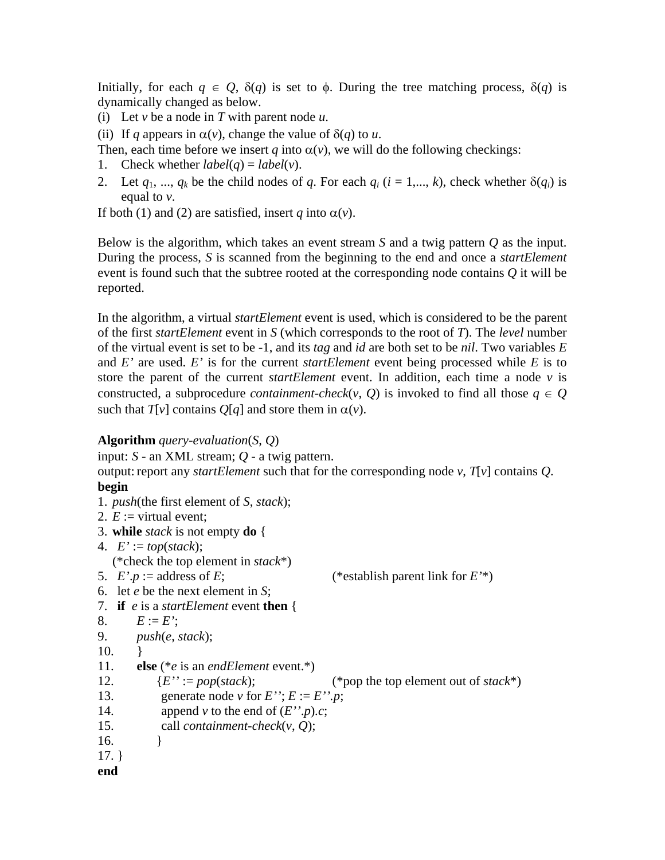Initially, for each  $q \in Q$ ,  $\delta(q)$  is set to  $\phi$ . During the tree matching process,  $\delta(q)$  is dynamically changed as below.

- (i) Let *v* be a node in *T* with parent node *u*.
- (ii) If *q* appears in  $\alpha(v)$ , change the value of  $\delta(q)$  to *u*.

Then, each time before we insert *q* into  $\alpha(v)$ , we will do the following checkings:

- 1. Check whether  $label(q) = label(v)$ .
- 2. Let  $q_1, ..., q_k$  be the child nodes of  $q$ . For each  $q_i$  ( $i = 1,..., k$ ), check whether  $\delta(q_i)$  is equal to *v*.

If both (1) and (2) are satisfied, insert *q* into  $\alpha(v)$ .

Below is the algorithm, which takes an event stream *S* and a twig pattern *Q* as the input. During the process, *S* is scanned from the beginning to the end and once a *startElement* event is found such that the subtree rooted at the corresponding node contains *Q* it will be reported.

In the algorithm, a virtual *startElement* event is used, which is considered to be the parent of the first *startElement* event in *S* (which corresponds to the root of *T*). The *level* number of the virtual event is set to be -1, and its *tag* and *id* are both set to be *nil*. Two variables *E* and *E'* are used. *E'* is for the current *startElement* event being processed while *E* is to store the parent of the current *startElement* event. In addition, each time a node *v* is constructed, a subprocedure *containment-check*(*v*, *Q*) is invoked to find all those  $q \in Q$ such that  $T[v]$  contains  $Q[q]$  and store them in  $\alpha(v)$ .

#### **Algorithm** *query-evaluation*(*S*, *Q*)

```
input: S - an XML stream; Q - a twig pattern. 
output: report any startElement such that for the corresponding node v, T[v] contains Q. 
begin
1. push(the first element of S, stack); 
2. E := virtual event;
3. while stack is not empty do { 
4. E' := top(state); (*check the top element in stack*) 
5. E' \cdot p := address of E; (*establish parent link for E'*)
6. let e be the next element in S; 
7. if e is a startElement event then { 
8. E := E';
9. push(e, stack); 
10. } 
11. else (*e is an endElement event.*) 
12. {E'} := pop(state); (*pop the top element out of stack*)
```

```
13. generate node v for E''; E := E''.p;
```
- 14. append *v* to the end of  $(E''\cdot p).c$ ;
- 15. call *containment-check*(*v*, *Q*);
- 16. }

17. }

**end**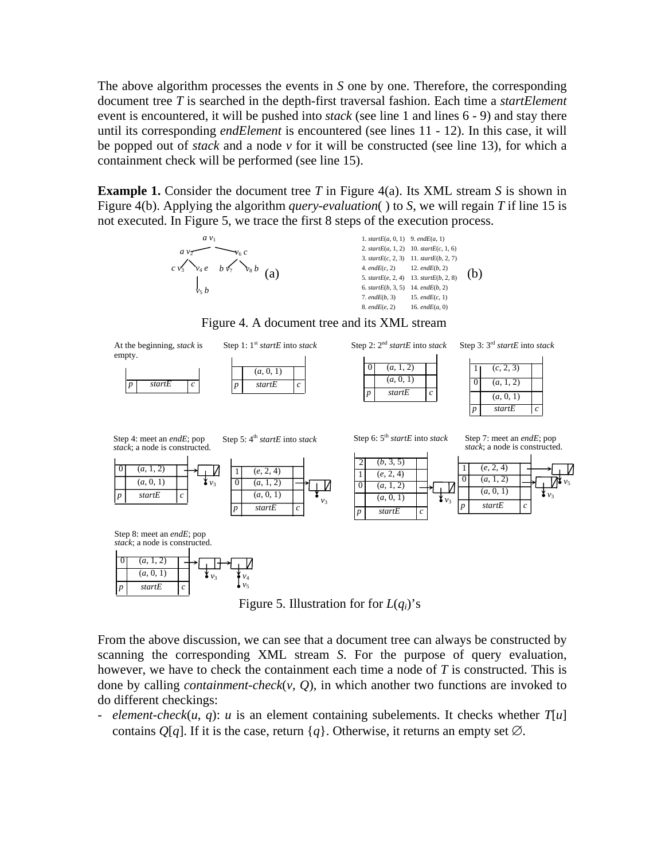The above algorithm processes the events in *S* one by one. Therefore, the corresponding document tree *T* is searched in the depth-first traversal fashion. Each time a *startElement*  event is encountered, it will be pushed into *stack* (see line 1 and lines 6 - 9) and stay there until its corresponding *endElement* is encountered (see lines 11 - 12). In this case, it will be popped out of *stack* and a node *v* for it will be constructed (see line 13), for which a containment check will be performed (see line 15).

**Example 1.** Consider the document tree *T* in Figure 4(a). Its XML stream *S* is shown in Figure 4(b). Applying the algorithm *query-evaluation*( ) to *S*, we will regain *T* if line 15 is not executed. In Figure 5, we trace the first 8 steps of the execution process.



| 15. $endE(c, 1)$<br>16. $endE(a, 0)$ | 1. start $E(a, 0, 1)$ 9. end $E(a, 1)$<br>2. start $E(a, 1, 2)$ 10. start $E(c, 1, 6)$<br>3. start $E(c, 2, 3)$ 11. start $E(b, 2, 7)$<br>4. $endE(c, 2)$<br>5. start $E(e, 2, 4)$ 13. start $E(b, 2, 8)$<br>6. start $E(b, 3, 5)$<br>$7.$ end $E(b, 3)$<br>$8.$ endE $(e, 2)$ | 12. $endE(b, 2)$<br>14. $endE(b, 2)$ | (b) |
|--------------------------------------|--------------------------------------------------------------------------------------------------------------------------------------------------------------------------------------------------------------------------------------------------------------------------------|--------------------------------------|-----|
|--------------------------------------|--------------------------------------------------------------------------------------------------------------------------------------------------------------------------------------------------------------------------------------------------------------------------------|--------------------------------------|-----|

Figure 4. A document tree and its XML stream



Figure 5. Illustration for for  $L(q_i)$ 's

From the above discussion, we can see that a document tree can always be constructed by scanning the corresponding XML stream *S*. For the purpose of query evaluation, however, we have to check the containment each time a node of *T* is constructed. This is done by calling *containment-check*(*v*, *Q*), in which another two functions are invoked to do different checkings:

- *element-check*( $u$ ,  $q$ ):  $u$  is an element containing subelements. It checks whether  $T[u]$ contains  $Q[q]$ . If it is the case, return  $\{q\}$ . Otherwise, it returns an empty set  $\varnothing$ .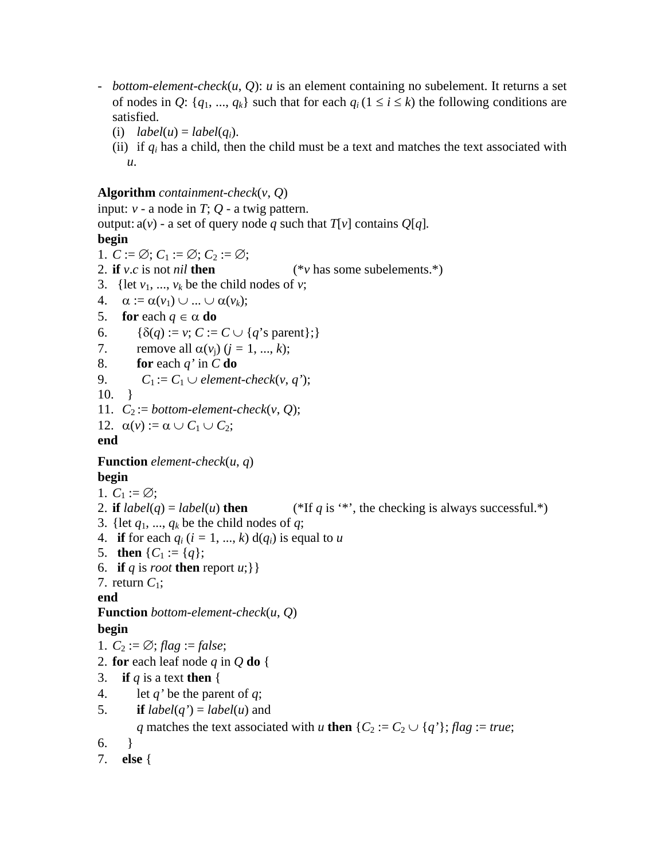- *bottom-element-check*(*u*, *Q*): *u* is an element containing no subelement. It returns a set of nodes in *Q*:  $\{q_1, ..., q_k\}$  such that for each  $q_i$  ( $1 \le i \le k$ ) the following conditions are satisfied.
	- (i)  $label(u) = label(q_i)$ .
	- (ii) if *qi* has a child, then the child must be a text and matches the text associated with *u*.

### **Algorithm** *containment-check*(*v*, *Q*)

input:  $v - a$  node in  $T$ ;  $Q - a$  twig pattern. output:  $a(v)$  - a set of query node *q* such that  $T[v]$  contains  $Q[q]$ . **begin** 1.  $C := \emptyset$ ;  $C_1 := \emptyset$ ;  $C_2 := \emptyset$ ; 2. **if** *v*.*c* is not *nil* **then**  $(*v$  has some subelements.\*) 3. {let  $v_1$ , ...,  $v_k$  be the child nodes of  $v$ ; 4.  $\alpha := \alpha(v_1) \cup ... \cup \alpha(v_k)$ ;

5. **for** each  $q \in \alpha$  **do** 

```
6. \{\delta(q) := v; C := C \cup \{q \text{'s parent}\};\}
```

```
7. remove all \alpha(v_i) (i = 1, ..., k);
```
8. **for** each *q'* in *C* **do**

```
9. C_1 := C_1 \cup element\text{-}check(v, q');
```
- 10. }
- 11.  $C_2 := bottom\text{-}element\text{-}check(v, Q);$
- 12.  $\alpha(v) := \alpha \cup C_1 \cup C_2;$

### **end**

**Function** *element-check*(*u*, *q*)

### **begin**

1.  $C_1 := \emptyset$ ;

```
2. if label(q) = label(u) then (*If q is '*', the checking is always successful.*)
```

```
3. {let q_1, ..., q_k be the child nodes of q;
```
- 4. **if** for each  $q_i$  ( $i = 1, ..., k$ ) d( $q_i$ ) is equal to  $u$
- 5. **then**  $\{C_1 := \{q\};\}$
- 6. **if** *q* is *root* **then** report *u*; } }

```
7. return C_1;
```
**end**

```
Function bottom-element-check(u, Q)
```
### **begin**

```
1. C_2 := \emptyset; flag := false;
```
- 2. **for** each leaf node *q* in *Q* **do** {
- 3. **if** *q* is a text **then**  $\{$
- 4. let  $q'$  be the parent of  $q$ ;
- 5. **if**  $label(q') = label(u)$  and

*q* matches the text associated with *u* then  $\{C_2 := C_2 \cup \{q\} \}$ ; *flag* := *true*;

6. }

```
7. else {
```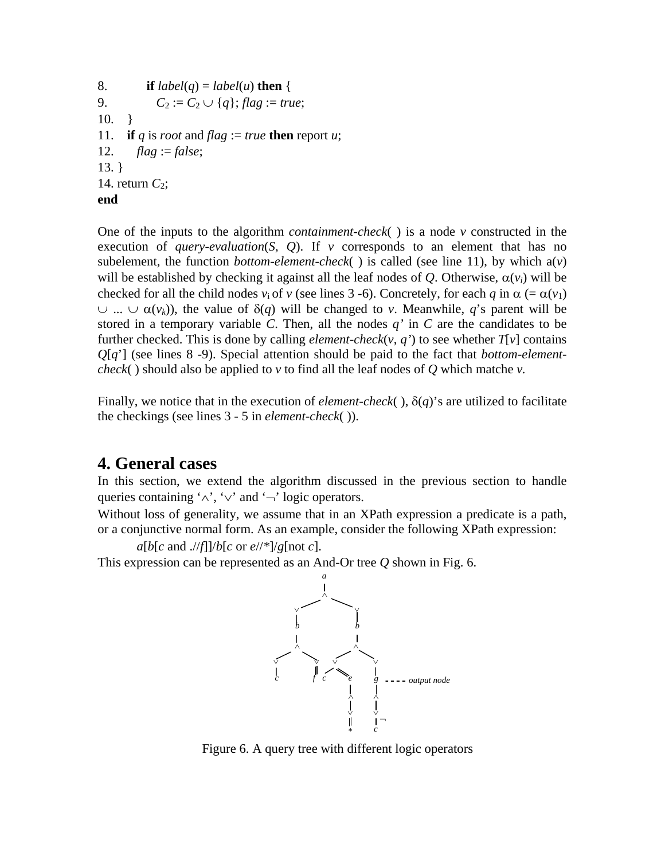8. **if**  $label(q) = label(u)$  **then** { 9.  $C_2 := C_2 \cup \{q\}; flag := true;$ 10. } 11. **if** *q* is *root* and *flag* := *true* **then** report *u*; 12. *flag* := *false*; 13. } 14. return  $C_2$ ; **end**

One of the inputs to the algorithm *containment-check*( ) is a node *v* constructed in the execution of *query-evaluation*(*S*, *Q*). If *v* corresponds to an element that has no subelement, the function *bottom-element-check*() is called (see line 11), by which  $a(v)$ will be established by checking it against all the leaf nodes of *Q*. Otherwise,  $\alpha(v_i)$  will be checked for all the child nodes  $v_i$  of  $v$  (see lines 3 -6). Concretely, for each *q* in  $\alpha$  (=  $\alpha$ ( $v_1$ ) ∪ ... ∪ α(*vk*)), the value of δ(*q*) will be changed to *v*. Meanwhile, *q*'s parent will be stored in a temporary variable *C*. Then, all the nodes *q'* in *C* are the candidates to be further checked. This is done by calling *element-check*( $v$ ,  $q'$ ) to see whether  $T[v]$  contains *Q*[*q*'] (see lines 8 -9). Special attention should be paid to the fact that *bottom-elementcheck*() should also be applied to  $\nu$  to find all the leaf nodes of  $Q$  which matche  $\nu$ .

Finally, we notice that in the execution of *element-check*(),  $\delta(q)$ 's are utilized to facilitate the checkings (see lines 3 - 5 in *element-check*( )).

# **4. General cases**

In this section, we extend the algorithm discussed in the previous section to handle queries containing ' $\land$ ', ' $\lor$ ' and ' $\neg$ ' logic operators.

Without loss of generality, we assume that in an XPath expression a predicate is a path, or a conjunctive normal form. As an example, consider the following XPath expression:

 $a[b[c \text{ and } ]/f]/b[c \text{ or } e]/[f][g[\text{not } c]$ .

This expression can be represented as an And-Or tree *Q* shown in Fig. 6.

![](_page_7_Figure_8.jpeg)

Figure 6. A query tree with different logic operators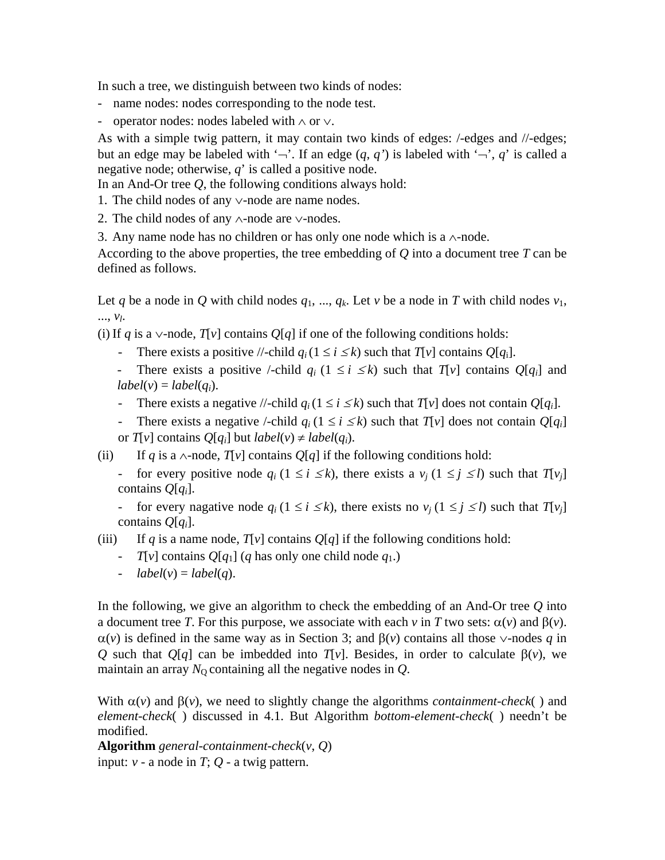In such a tree, we distinguish between two kinds of nodes:

- name nodes: nodes corresponding to the node test.
- operator nodes: nodes labeled with ∧ or ∨.

As with a simple twig pattern, it may contain two kinds of edges: /-edges and //-edges; but an edge may be labeled with ' $\neg$ '. If an edge  $(q, q')$  is labeled with ' $\neg$ ', *q*' is called a negative node; otherwise, *q*' is called a positive node.

In an And-Or tree *Q*, the following conditions always hold:

- 1. The child nodes of any ∨-node are name nodes.
- 2. The child nodes of any ∧-node are ∨-nodes.

3. Any name node has no children or has only one node which is a  $∧$ -node.

According to the above properties, the tree embedding of *Q* into a document tree *T* can be defined as follows.

Let *q* be a node in *Q* with child nodes  $q_1, ..., q_k$ . Let *v* be a node in *T* with child nodes  $v_1$ , ..., *vl*.

(i) If *q* is a ∨-node,  $T[v]$  contains  $Q[q]$  if one of the following conditions holds:

- There exists a positive //-child  $q_i(1 \le i \le k)$  such that  $T[v]$  contains  $Q[q_i]$ .

There exists a positive /-child  $q_i$  ( $1 \le i \le k$ ) such that  $T[v]$  contains  $Q[q_i]$  and  $label(v) = label(q_i).$ 

- There exists a negative //-child  $q_i(1 \le i \le k)$  such that  $T[v]$  does not contain  $Q[q_i]$ .

- There exists a negative /-child  $q_i$  ( $1 \le i \le k$ ) such that  $T[v]$  does not contain  $Q[q_i]$ or  $T[v]$  contains  $Q[q_i]$  but  $label(v) \neq label(q_i)$ .

(ii) If *q* is a  $\land$ -node, *T*[*v*] contains *O*[*q*] if the following conditions hold:

- for every positive node  $q_i$  ( $1 \le i \le k$ ), there exists a  $v_i$  ( $1 \le j \le l$ ) such that  $T[v_i]$ contains *Q*[*qi*].

- for every nagative node  $q_i$  ( $1 \le i \le k$ ), there exists no  $v_i$  ( $1 \le j \le l$ ) such that  $T[v_i]$ contains *Q*[*qi*].

(iii) If *q* is a name node,  $T[v]$  contains  $Q[q]$  if the following conditions hold:

- *T*[*v*] contains  $Q[q_1]$  (*q* has only one child node  $q_1$ .)
- $label(v) = label(q)$ .

In the following, we give an algorithm to check the embedding of an And-Or tree *Q* into a document tree *T*. For this purpose, we associate with each *v* in *T* two sets:  $\alpha(v)$  and  $\beta(v)$ . α(*v*) is defined in the same way as in Section 3; and β(*v*) contains all those ∨-nodes *q* in *Q* such that *Q*[*q*] can be imbedded into *T*[*v*]. Besides, in order to calculate β(*v*), we maintain an array  $N<sub>0</sub>$  containing all the negative nodes in  $Q$ .

With  $\alpha(v)$  and  $\beta(v)$ , we need to slightly change the algorithms *containment-check*() and *element-check*( ) discussed in 4.1. But Algorithm *bottom-element-check*( ) needn't be modified.

**Algorithm** *general-containment-check*(*v*, *Q*) input:  $v - a$  node in  $T$ ;  $Q - a$  twig pattern.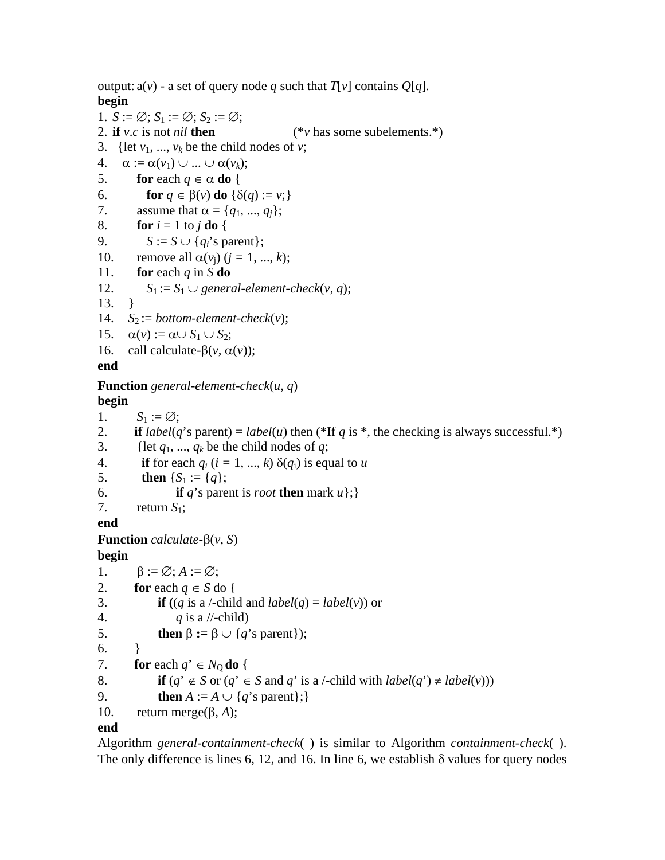output:  $a(v)$  - a set of query node *q* such that  $T[v]$  contains  $Q[q]$ . **begin** 1.  $S := \emptyset$ ;  $S_1 := \emptyset$ ;  $S_2 := \emptyset$ ; 2. **if** *v*.*c* is not *nil* **then**  $(*v \text{ has some subelements.})$ 3. {let  $v_1$ , ...,  $v_k$  be the child nodes of  $v$ ; 4.  $\alpha := \alpha(v_1) \cup ... \cup \alpha(v_k);$ 5. **for** each  $q \in \alpha$  **do** { 6. **for**  $q \in \beta(v)$  **do**  $\{\delta(q) := v\}$ 7. assume that  $\alpha = \{q_1, ..., q_i\};$ 8. **for**  $i = 1$  to  $j$  **do** { 9.  $S := S \cup \{q_i\text{'s parent}\};$ 10. remove all  $\alpha(v_i)$  ( $j = 1, ..., k$ ); 11. **for** each  $q$  in  $S$  **do** 12.  $S_1 := S_1 \cup general-element-check(v, q);$ 13. } 14.  $S_2 := bottom-element-check(v);$ 15.  $\alpha(v) := \alpha \cup S_1 \cup S_2;$ 16. call calculate- $β(v, α(v))$ ; **end Function** *general-element-check*(*u*, *q*) **begin** 1.  $S_1 := \emptyset;$ 2. **if**  $label(q's parent) = label(u)$  then (\*If *q* is \*, the checking is always successful.\*) 3. {let  $q_1, ..., q_k$  be the child nodes of  $q$ ; 4. **if** for each  $q_i$  ( $i = 1, ..., k$ )  $\delta(q_i)$  is equal to *u* 5. **then**  ${S_1 := {q}}$ ; 6. **if** *q*'s parent is *root* **then** mark *u*}; 7. return  $S_1$ ;

**end**

**Function** *calculate*-β(*v*, *S*)

**begin**

```
1. \beta := \emptyset; A := \emptyset;
2. for each q \in S do {
3. if ((q \text{ is a }/-\text{child and } label(q) = label(v)) or
4. q is a \sqrt{\frac{1}{c}}child)
5. then \beta := \beta \cup \{q's parent});
6. \qquad \}7. for each q' \in N_0 do {
8. if (q' \notin S \text{ or } (q' \in S \text{ and } q' \text{ is a }/-\text{child with } label(q') \neq label(v)))9. then A := A \cup \{q's parent\};\}10. return merge(β, A);
```
### **end**

Algorithm *general*-*containment-check*( ) is similar to Algorithm *containment-check*( ). The only difference is lines 6, 12, and 16. In line 6, we establish  $\delta$  values for query nodes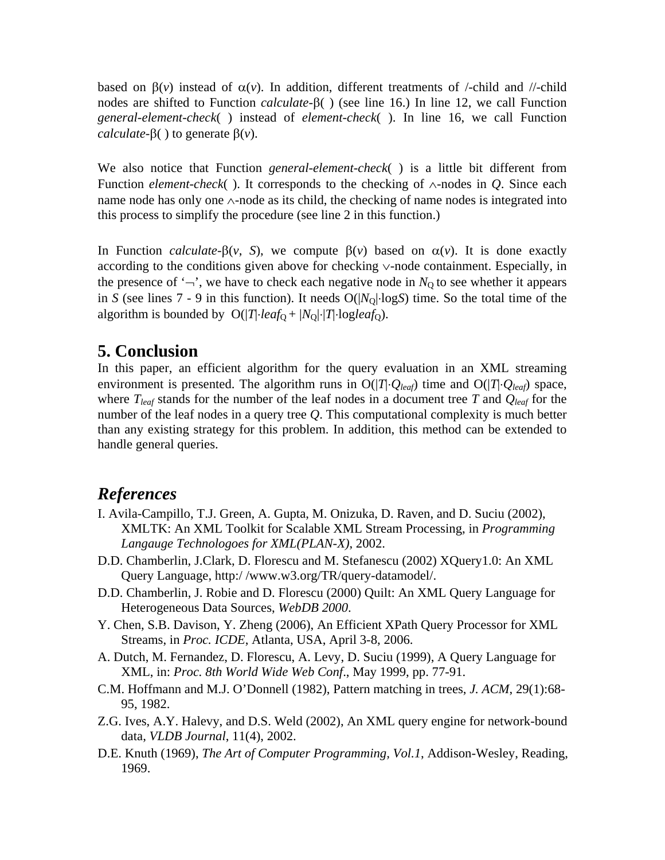based on  $\beta(v)$  instead of  $\alpha(v)$ . In addition, different treatments of /-child and //-child nodes are shifted to Function *calculate*-β( ) (see line 16.) In line 12, we call Function *general-element-check*( ) instead of *element-check*( ). In line 16, we call Function *calculate*-β( ) to generate β(*v*).

We also notice that Function *general-element-check*( ) is a little bit different from Function *element-check*( ). It corresponds to the checking of ∧-nodes in *Q*. Since each name node has only one ∧-node as its child, the checking of name nodes is integrated into this process to simplify the procedure (see line 2 in this function.)

In Function *calculate*-β(*v*, *S*), we compute  $β(v)$  based on  $α(v)$ . It is done exactly according to the conditions given above for checking ∨-node containment. Especially, in the presence of  $\dot{\neg}$ , we have to check each negative node in  $N_0$  to see whether it appears in *S* (see lines 7 - 9 in this function). It needs  $O(|N_0|\cdot \log S)$  time. So the total time of the algorithm is bounded by  $O(|T|\cdot leaf_0 + |N_0|\cdot |T|\cdot logleaf_0)$ .

# **5. Conclusion**

In this paper, an efficient algorithm for the query evaluation in an XML streaming environment is presented. The algorithm runs in O(|*T*|⋅*Qleaf*) time and O(|*T*|⋅*Qleaf*) space, where  $T_{leaf}$  stands for the number of the leaf nodes in a document tree  $T$  and  $Q_{leaf}$  for the number of the leaf nodes in a query tree *Q*. This computational complexity is much better than any existing strategy for this problem. In addition, this method can be extended to handle general queries.

# *References*

- I. Avila-Campillo, T.J. Green, A. Gupta, M. Onizuka, D. Raven, and D. Suciu (2002), XMLTK: An XML Toolkit for Scalable XML Stream Processing, in *Programming Langauge Technologoes for XML(PLAN-X)*, 2002.
- D.D. Chamberlin, J.Clark, D. Florescu and M. Stefanescu (2002) XQuery1.0: An XML Query Language, http:/ /www.w3.org/TR/query-datamodel/.
- D.D. Chamberlin, J. Robie and D. Florescu (2000) Quilt: An XML Query Language for Heterogeneous Data Sources, *WebDB 2000*.
- Y. Chen, S.B. Davison, Y. Zheng (2006), An Efficient XPath Query Processor for XML Streams, in *Proc. ICDE*, Atlanta, USA, April 3-8, 2006.
- A. Dutch, M. Fernandez, D. Florescu, A. Levy, D. Suciu (1999), A Query Language for XML, in: *Proc. 8th World Wide Web Conf*., May 1999, pp. 77-91.
- C.M. Hoffmann and M.J. O'Donnell (1982), Pattern matching in trees, *J. ACM*, 29(1):68- 95, 1982.
- Z.G. Ives, A.Y. Halevy, and D.S. Weld (2002), An XML query engine for network-bound data, *VLDB Journal*, 11(4), 2002.
- D.E. Knuth (1969), *The Art of Computer Programming, Vol.1*, Addison-Wesley, Reading, 1969.